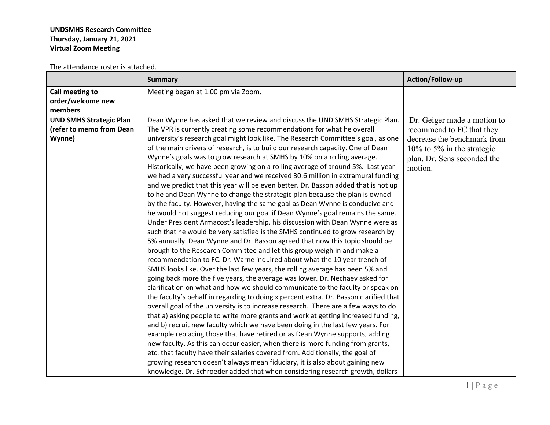## **UNDSMHS Research Committee Thursday, January 21, 2021 Virtual Zoom Meeting**

The attendance roster is attached.

|                                | <b>Summary</b>                                                                        | Action/Follow-up              |
|--------------------------------|---------------------------------------------------------------------------------------|-------------------------------|
| Call meeting to                | Meeting began at 1:00 pm via Zoom.                                                    |                               |
| order/welcome new              |                                                                                       |                               |
| members                        |                                                                                       |                               |
| <b>UND SMHS Strategic Plan</b> | Dean Wynne has asked that we review and discuss the UND SMHS Strategic Plan.          | Dr. Geiger made a motion to   |
| (refer to memo from Dean       | The VPR is currently creating some recommendations for what he overall                | recommend to FC that they     |
| Wynne)                         | university's research goal might look like. The Research Committee's goal, as one     | decrease the benchmark from   |
|                                | of the main drivers of research, is to build our research capacity. One of Dean       | $10\%$ to 5% in the strategic |
|                                | Wynne's goals was to grow research at SMHS by 10% on a rolling average.               | plan. Dr. Sens seconded the   |
|                                | Historically, we have been growing on a rolling average of around 5%. Last year       | motion.                       |
|                                | we had a very successful year and we received 30.6 million in extramural funding      |                               |
|                                | and we predict that this year will be even better. Dr. Basson added that is not up    |                               |
|                                | to he and Dean Wynne to change the strategic plan because the plan is owned           |                               |
|                                | by the faculty. However, having the same goal as Dean Wynne is conducive and          |                               |
|                                | he would not suggest reducing our goal if Dean Wynne's goal remains the same.         |                               |
|                                | Under President Armacost's leadership, his discussion with Dean Wynne were as         |                               |
|                                | such that he would be very satisfied is the SMHS continued to grow research by        |                               |
|                                | 5% annually. Dean Wynne and Dr. Basson agreed that now this topic should be           |                               |
|                                | brough to the Research Committee and let this group weigh in and make a               |                               |
|                                | recommendation to FC. Dr. Warne inquired about what the 10 year trench of             |                               |
|                                | SMHS looks like. Over the last few years, the rolling average has been 5% and         |                               |
|                                | going back more the five years, the average was lower. Dr. Nechaev asked for          |                               |
|                                | clarification on what and how we should communicate to the faculty or speak on        |                               |
|                                | the faculty's behalf in regarding to doing x percent extra. Dr. Basson clarified that |                               |
|                                | overall goal of the university is to increase research. There are a few ways to do    |                               |
|                                | that a) asking people to write more grants and work at getting increased funding,     |                               |
|                                | and b) recruit new faculty which we have been doing in the last few years. For        |                               |
|                                | example replacing those that have retired or as Dean Wynne supports, adding           |                               |
|                                | new faculty. As this can occur easier, when there is more funding from grants,        |                               |
|                                | etc. that faculty have their salaries covered from. Additionally, the goal of         |                               |
|                                | growing research doesn't always mean fiduciary, it is also about gaining new          |                               |
|                                | knowledge. Dr. Schroeder added that when considering research growth, dollars         |                               |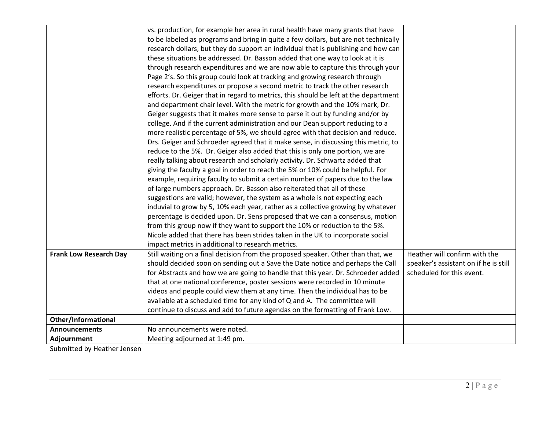|                               | vs. production, for example her area in rural health have many grants that have      |                                       |
|-------------------------------|--------------------------------------------------------------------------------------|---------------------------------------|
|                               | to be labeled as programs and bring in quite a few dollars, but are not technically  |                                       |
|                               | research dollars, but they do support an individual that is publishing and how can   |                                       |
|                               | these situations be addressed. Dr. Basson added that one way to look at it is        |                                       |
|                               | through research expenditures and we are now able to capture this through your       |                                       |
|                               | Page 2's. So this group could look at tracking and growing research through          |                                       |
|                               | research expenditures or propose a second metric to track the other research         |                                       |
|                               | efforts. Dr. Geiger that in regard to metrics, this should be left at the department |                                       |
|                               | and department chair level. With the metric for growth and the 10% mark, Dr.         |                                       |
|                               | Geiger suggests that it makes more sense to parse it out by funding and/or by        |                                       |
|                               | college. And if the current administration and our Dean support reducing to a        |                                       |
|                               | more realistic percentage of 5%, we should agree with that decision and reduce.      |                                       |
|                               | Drs. Geiger and Schroeder agreed that it make sense, in discussing this metric, to   |                                       |
|                               | reduce to the 5%. Dr. Geiger also added that this is only one portion, we are        |                                       |
|                               | really talking about research and scholarly activity. Dr. Schwartz added that        |                                       |
|                               | giving the faculty a goal in order to reach the 5% or 10% could be helpful. For      |                                       |
|                               | example, requiring faculty to submit a certain number of papers due to the law       |                                       |
|                               | of large numbers approach. Dr. Basson also reiterated that all of these              |                                       |
|                               | suggestions are valid; however, the system as a whole is not expecting each          |                                       |
|                               | induvial to grow by 5, 10% each year, rather as a collective growing by whatever     |                                       |
|                               | percentage is decided upon. Dr. Sens proposed that we can a consensus, motion        |                                       |
|                               | from this group now if they want to support the 10% or reduction to the 5%.          |                                       |
|                               | Nicole added that there has been strides taken in the UK to incorporate social       |                                       |
|                               | impact metrics in additional to research metrics.                                    |                                       |
| <b>Frank Low Research Day</b> | Still waiting on a final decision from the proposed speaker. Other than that, we     | Heather will confirm with the         |
|                               | should decided soon on sending out a Save the Date notice and perhaps the Call       | speaker's assistant on if he is still |
|                               | for Abstracts and how we are going to handle that this year. Dr. Schroeder added     | scheduled for this event.             |
|                               | that at one national conference, poster sessions were recorded in 10 minute          |                                       |
|                               | videos and people could view them at any time. Then the individual has to be         |                                       |
|                               | available at a scheduled time for any kind of Q and A. The committee will            |                                       |
|                               | continue to discuss and add to future agendas on the formatting of Frank Low.        |                                       |
| Other/Informational           |                                                                                      |                                       |
| <b>Announcements</b>          | No announcements were noted.                                                         |                                       |
| Adjournment                   | Meeting adjourned at 1:49 pm.                                                        |                                       |

Submitted by Heather Jensen